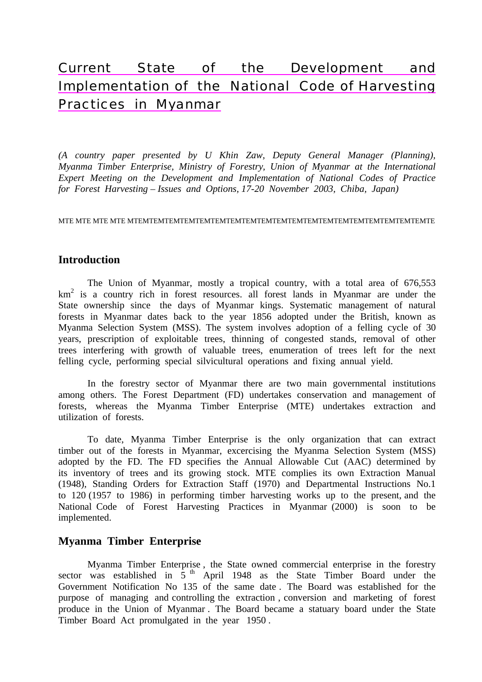# Current State of the Development and Implementation of the National Code of Harvesting Practices in Myanmar

*(A country paper presented by U Khin Zaw, Deputy General Manager (Planning), Myanma Timber Enterprise, Ministry of Forestry, Union of Myanmar at the International Expert Meeting on the Development and Implementation of National Codes of Practice for Forest Harvesting – Issues and Options, 17-20 November 2003, Chiba, Japan)* 

MTE MTE MTE MTE MTEMTEMTEMTEMTEMTEMTEMTEMTEMTEMTEMTEMTEMTEMTEMTEMTEMTEMTEMTE

### **Introduction**

 The Union of Myanmar, mostly a tropical country, with a total area of 676,553 km2 is a country rich in forest resources. all forest lands in Myanmar are under the State ownership since the days of Myanmar kings. Systematic management of natural forests in Myanmar dates back to the year 1856 adopted under the British, known as Myanma Selection System (MSS). The system involves adoption of a felling cycle of 30 years, prescription of exploitable trees, thinning of congested stands, removal of other trees interfering with growth of valuable trees, enumeration of trees left for the next felling cycle, performing special silvicultural operations and fixing annual yield.

 In the forestry sector of Myanmar there are two main governmental institutions among others. The Forest Department (FD) undertakes conservation and management of forests, whereas the Myanma Timber Enterprise (MTE) undertakes extraction and utilization of forests.

 To date, Myanma Timber Enterprise is the only organization that can extract timber out of the forests in Myanmar, excercising the Myanma Selection System (MSS) adopted by the FD. The FD specifies the Annual Allowable Cut (AAC) determined by its inventory of trees and its growing stock. MTE complies its own Extraction Manual (1948), Standing Orders for Extraction Staff (1970) and Departmental Instructions No.1 to 120 (1957 to 1986) in performing timber harvesting works up to the present, and the National Code of Forest Harvesting Practices in Myanmar (2000) is soon to be implemented.

### **Myanma Timber Enterprise**

 Myanma Timber Enterprise , the State owned commercial enterprise in the forestry sector was established in  $\frac{1}{5}$ <sup>th</sup> April 1948 as the State Timber Board under the Government Notification No 135 of the same date . The Board was established for the purpose of managing and controlling the extraction , conversion and marketing of forest produce in the Union of Myanmar . The Board became a statuary board under the State Timber Board Act promulgated in the year 1950 .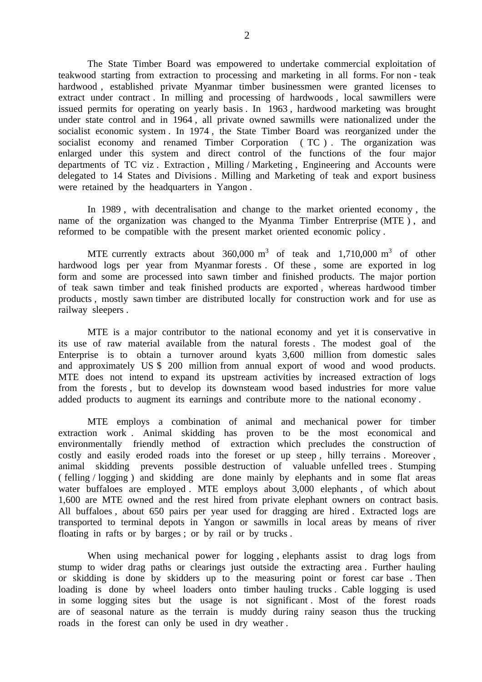The State Timber Board was empowered to undertake commercial exploitation of teakwood starting from extraction to processing and marketing in all forms. For non - teak hardwood , established private Myanmar timber businessmen were granted licenses to extract under contract . In milling and processing of hardwoods , local sawmillers were issued permits for operating on yearly basis . In 1963 , hardwood marketing was brought under state control and in 1964 , all private owned sawmills were nationalized under the socialist economic system . In 1974 , the State Timber Board was reorganized under the socialist economy and renamed Timber Corporation ( TC ) . The organization was enlarged under this system and direct control of the functions of the four major departments of TC viz . Extraction , Milling / Marketing , Engineering and Accounts were delegated to 14 States and Divisions . Milling and Marketing of teak and export business were retained by the headquarters in Yangon .

 In 1989 , with decentralisation and change to the market oriented economy , the name of the organization was changed to the Myanma Timber Entrerprise (MTE ) , and reformed to be compatible with the present market oriented economic policy .

MTE currently extracts about  $360,000 \text{ m}^3$  of teak and  $1,710,000 \text{ m}^3$  of other hardwood logs per year from Myanmar forests . Of these , some are exported in log form and some are processed into sawn timber and finished products. The major portion of teak sawn timber and teak finished products are exported , whereas hardwood timber products , mostly sawn timber are distributed locally for construction work and for use as railway sleepers .

 MTE is a major contributor to the national economy and yet it is conservative in its use of raw material available from the natural forests . The modest goal of the Enterprise is to obtain a turnover around kyats 3,600 million from domestic sales and approximately US \$ 200 million from annual export of wood and wood products. MTE does not intend to expand its upstream activities by increased extraction of logs from the forests , but to develop its downsteam wood based industries for more value added products to augment its earnings and contribute more to the national economy .

 MTE employs a combination of animal and mechanical power for timber extraction work . Animal skidding has proven to be the most economical and environmentally friendly method of extraction which precludes the construction of costly and easily eroded roads into the foreset or up steep , hilly terrains . Moreover , animal skidding prevents possible destruction of valuable unfelled trees . Stumping ( felling / logging ) and skidding are done mainly by elephants and in some flat areas water buffaloes are employed . MTE employs about 3,000 elephants, of which about 1,600 are MTE owned and the rest hired from private elephant owners on contract basis. All buffaloes , about 650 pairs per year used for dragging are hired . Extracted logs are transported to terminal depots in Yangon or sawmills in local areas by means of river floating in rafts or by barges ; or by rail or by trucks .

 When using mechanical power for logging , elephants assist to drag logs from stump to wider drag paths or clearings just outside the extracting area . Further hauling or skidding is done by skidders up to the measuring point or forest car base . Then loading is done by wheel loaders onto timber hauling trucks . Cable logging is used in some logging sites but the usage is not significant . Most of the forest roads are of seasonal nature as the terrain is muddy during rainy season thus the trucking roads in the forest can only be used in dry weather .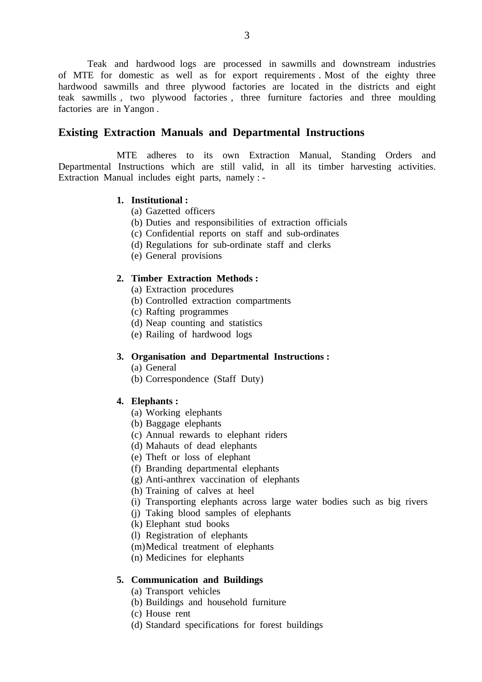Teak and hardwood logs are processed in sawmills and downstream industries of MTE for domestic as well as for export requirements . Most of the eighty three hardwood sawmills and three plywood factories are located in the districts and eight teak sawmills , two plywood factories , three furniture factories and three moulding factories are in Yangon .

#### **Existing Extraction Manuals and Departmental Instructions**

 MTE adheres to its own Extraction Manual, Standing Orders and Departmental Instructions which are still valid, in all its timber harvesting activities. Extraction Manual includes eight parts, namely : -

#### **1. Institutional :**

- (a) Gazetted officers
- (b) Duties and responsibilities of extraction officials
- (c) Confidential reports on staff and sub-ordinates
- (d) Regulations for sub-ordinate staff and clerks
- (e) General provisions

#### **2. Timber Extraction Methods :**

- (a) Extraction procedures
- (b) Controlled extraction compartments
- (c) Rafting programmes
- (d) Neap counting and statistics
- (e) Railing of hardwood logs

#### **3. Organisation and Departmental Instructions :**

- (a) General
- (b) Correspondence (Staff Duty)

#### **4. Elephants :**

- (a) Working elephants
- (b) Baggage elephants
- (c) Annual rewards to elephant riders
- (d) Mahauts of dead elephants
- (e) Theft or loss of elephant
- (f) Branding departmental elephants
- (g) Anti-anthrex vaccination of elephants
- (h) Training of calves at heel
- (i) Transporting elephants across large water bodies such as big rivers
- (j) Taking blood samples of elephants
- (k) Elephant stud books
- (l) Registration of elephants
- (m) Medical treatment of elephants
- (n) Medicines for elephants

#### **5. Communication and Buildings**

- (a) Transport vehicles
- (b) Buildings and household furniture
- (c) House rent
- (d) Standard specifications for forest buildings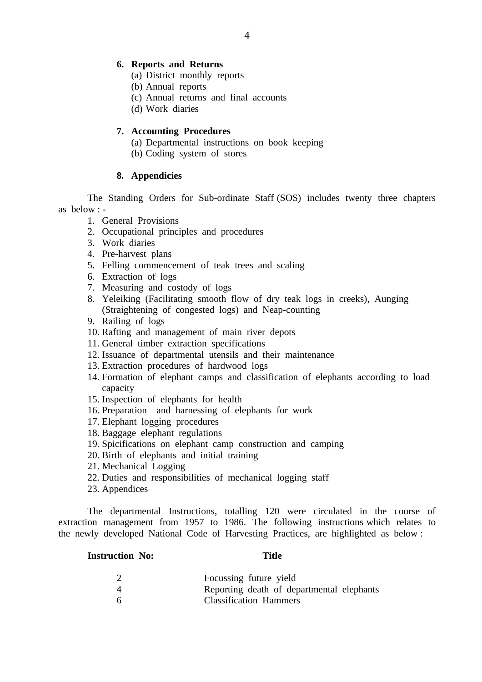#### **6. Reports and Returns**

- (a) District monthly reports
- (b) Annual reports
- (c) Annual returns and final accounts
- (d) Work diaries

#### **7. Accounting Procedures**

- (a) Departmental instructions on book keeping
- (b) Coding system of stores

### **8. Appendicies**

 The Standing Orders for Sub-ordinate Staff (SOS) includes twenty three chapters as below : -

- 1. General Provisions
- 2. Occupational principles and procedures
- 3. Work diaries
- 4. Pre-harvest plans
- 5. Felling commencement of teak trees and scaling
- 6. Extraction of logs
- 7. Measuring and costody of logs
- 8. Yeleiking (Facilitating smooth flow of dry teak logs in creeks), Aunging (Straightening of congested logs) and Neap-counting
- 9. Railing of logs
- 10. Rafting and management of main river depots
- 11. General timber extraction specifications
- 12. Issuance of departmental utensils and their maintenance
- 13. Extraction procedures of hardwood logs
- 14. Formation of elephant camps and classification of elephants according to load capacity
- 15. Inspection of elephants for health
- 16. Preparation and harnessing of elephants for work
- 17. Elephant logging procedures
- 18. Baggage elephant regulations
- 19. Spicifications on elephant camp construction and camping
- 20. Birth of elephants and initial training
- 21. Mechanical Logging
- 22. Duties and responsibilities of mechanical logging staff
- 23. Appendices

 The departmental Instructions, totalling 120 were circulated in the course of extraction management from 1957 to 1986. The following instructions which relates to the newly developed National Code of Harvesting Practices, are highlighted as below :

#### **Instruction No: Title**

| Focussing future yield                    |
|-------------------------------------------|
| Reporting death of departmental elephants |
| <b>Classification Hammers</b>             |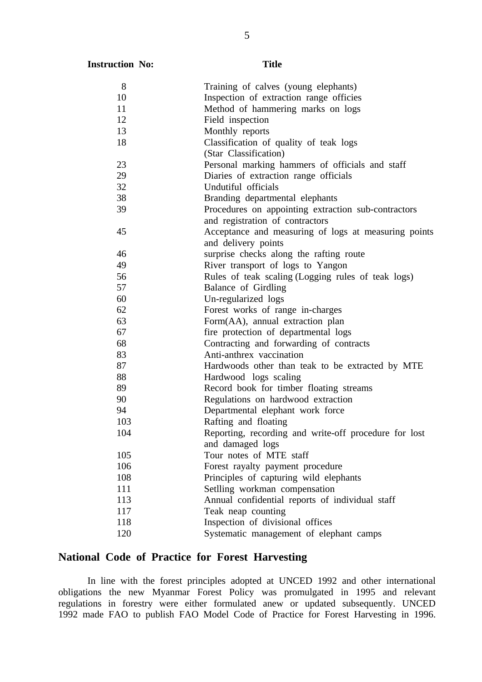| 8   | Training of calves (young elephants)                  |
|-----|-------------------------------------------------------|
| 10  | Inspection of extraction range officies               |
| 11  | Method of hammering marks on logs                     |
| 12  | Field inspection                                      |
| 13  | Monthly reports                                       |
| 18  | Classification of quality of teak logs                |
|     | (Star Classification)                                 |
| 23  | Personal marking hammers of officials and staff       |
| 29  | Diaries of extraction range officials                 |
| 32  | Undutiful officials                                   |
| 38  | Branding departmental elephants                       |
| 39  | Procedures on appointing extraction sub-contractors   |
|     | and registration of contractors                       |
| 45  | Acceptance and measuring of logs at measuring points  |
|     | and delivery points                                   |
| 46  | surprise checks along the rafting route               |
| 49  | River transport of logs to Yangon                     |
| 56  | Rules of teak scaling (Logging rules of teak logs)    |
| 57  | Balance of Girdling                                   |
| 60  | Un-regularized logs                                   |
| 62  | Forest works of range in-charges                      |
| 63  | Form(AA), annual extraction plan                      |
| 67  | fire protection of departmental logs                  |
| 68  | Contracting and forwarding of contracts               |
| 83  | Anti-anthrex vaccination                              |
| 87  | Hardwoods other than teak to be extracted by MTE      |
| 88  | Hardwood logs scaling                                 |
| 89  | Record book for timber floating streams               |
| 90  | Regulations on hardwood extraction                    |
| 94  | Departmental elephant work force                      |
| 103 | Rafting and floating                                  |
| 104 | Reporting, recording and write-off procedure for lost |
|     | and damaged logs                                      |
| 105 | Tour notes of MTE staff                               |
| 106 | Forest rayalty payment procedure                      |
| 108 | Principles of capturing wild elephants                |
| 111 | Setlling workman compensation                         |
| 113 | Annual confidential reports of individual staff       |
| 117 | Teak neap counting                                    |
| 118 | Inspection of divisional offices                      |
| 120 | Systematic management of elephant camps               |

## **National Code of Practice for Forest Harvesting**

 In line with the forest principles adopted at UNCED 1992 and other international obligations the new Myanmar Forest Policy was promulgated in 1995 and relevant regulations in forestry were either formulated anew or updated subsequently. UNCED 1992 made FAO to publish FAO Model Code of Practice for Forest Harvesting in 1996.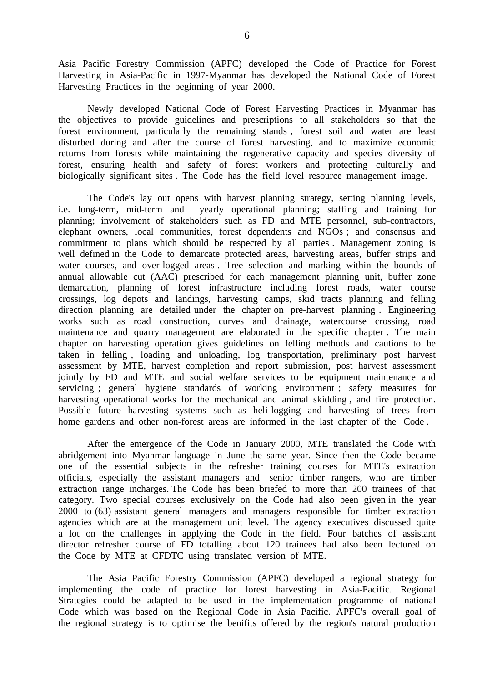Asia Pacific Forestry Commission (APFC) developed the Code of Practice for Forest Harvesting in Asia-Pacific in 1997-Myanmar has developed the National Code of Forest Harvesting Practices in the beginning of year 2000.

Newly developed National Code of Forest Harvesting Practices in Myanmar has the objectives to provide guidelines and prescriptions to all stakeholders so that the forest environment, particularly the remaining stands , forest soil and water are least disturbed during and after the course of forest harvesting, and to maximize economic returns from forests while maintaining the regenerative capacity and species diversity of forest, ensuring health and safety of forest workers and protecting culturally and biologically significant sites . The Code has the field level resource management image.

The Code's lay out opens with harvest planning strategy, setting planning levels, i.e. long-term, mid-term and yearly operational planning; staffing and training for planning; involvement of stakeholders such as FD and MTE personnel, sub-contractors, elephant owners, local communities, forest dependents and NGOs ; and consensus and commitment to plans which should be respected by all parties . Management zoning is well defined in the Code to demarcate protected areas, harvesting areas, buffer strips and water courses, and over-logged areas . Tree selection and marking within the bounds of annual allowable cut (AAC) prescribed for each management planning unit, buffer zone demarcation, planning of forest infrastructure including forest roads, water course crossings, log depots and landings, harvesting camps, skid tracts planning and felling direction planning are detailed under the chapter on pre-harvest planning . Engineering works such as road construction, curves and drainage, watercourse crossing, road maintenance and quarry management are elaborated in the specific chapter . The main chapter on harvesting operation gives guidelines on felling methods and cautions to be taken in felling , loading and unloading, log transportation, preliminary post harvest assessment by MTE, harvest completion and report submission, post harvest assessment jointly by FD and MTE and social welfare services to be equipment maintenance and servicing ; general hygiene standards of working environment ; safety measures for harvesting operational works for the mechanical and animal skidding , and fire protection. Possible future harvesting systems such as heli-logging and harvesting of trees from home gardens and other non-forest areas are informed in the last chapter of the Code .

 After the emergence of the Code in January 2000, MTE translated the Code with abridgement into Myanmar language in June the same year. Since then the Code became one of the essential subjects in the refresher training courses for MTE's extraction officials, especially the assistant managers and senior timber rangers, who are timber extraction range incharges. The Code has been briefed to more than 200 trainees of that category. Two special courses exclusively on the Code had also been given in the year 2000 to (63) assistant general managers and managers responsible for timber extraction agencies which are at the management unit level. The agency executives discussed quite a lot on the challenges in applying the Code in the field. Four batches of assistant director refresher course of FD totalling about 120 trainees had also been lectured on the Code by MTE at CFDTC using translated version of MTE.

 The Asia Pacific Forestry Commission (APFC) developed a regional strategy for implementing the code of practice for forest harvesting in Asia-Pacific. Regional Strategies could be adapted to be used in the implementation programme of national Code which was based on the Regional Code in Asia Pacific. APFC's overall goal of the regional strategy is to optimise the benifits offered by the region's natural production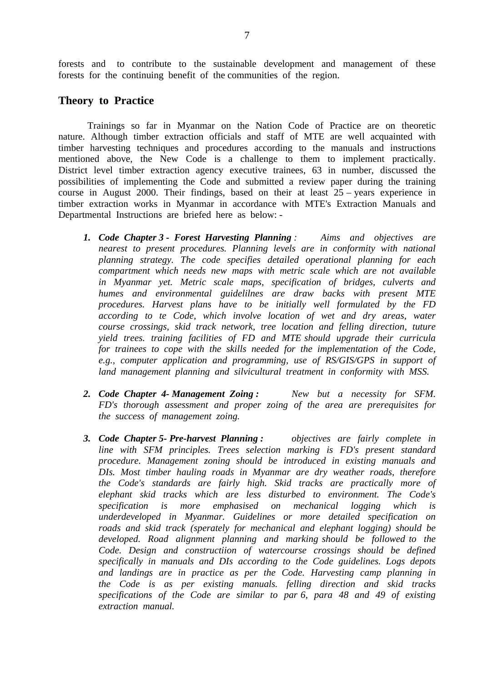forests and to contribute to the sustainable development and management of these forests for the continuing benefit of the communities of the region.

#### **Theory to Practice**

 Trainings so far in Myanmar on the Nation Code of Practice are on theoretic nature. Although timber extraction officials and staff of MTE are well acquainted with timber harvesting techniques and procedures according to the manuals and instructions mentioned above, the New Code is a challenge to them to implement practically. District level timber extraction agency executive trainees, 63 in number, discussed the possibilities of implementing the Code and submitted a review paper during the training course in August 2000. Their findings, based on their at least 25 – years experience in timber extraction works in Myanmar in accordance with MTE's Extraction Manuals and Departmental Instructions are briefed here as below: -

- *1. Code Chapter 3 Forest Harvesting Planning : Aims and objectives are nearest to present procedures. Planning levels are in conformity with national planning strategy. The code specifies detailed operational planning for each compartment which needs new maps with metric scale which are not available in Myanmar yet. Metric scale maps, specification of bridges, culverts and humes and environmental guidelilnes are draw backs with present MTE procedures. Harvest plans have to be initially well formulated by the FD according to te Code, which involve location of wet and dry areas, water course crossings, skid track network, tree location and felling direction, tuture yield trees. training facilities of FD and MTE should upgrade their curricula for trainees to cope with the skills needed for the implementation of the Code, e.g., computer application and programming, use of RS/GIS/GPS in support of land management planning and silvicultural treatment in conformity with MSS.*
- *2. Code Chapter 4- Management Zoing : New but a necessity for SFM. FD's thorough assessment and proper zoing of the area are prerequisites for the success of management zoing.*
- *3. Code Chapter 5- Pre-harvest Planning : objectives are fairly complete in line with SFM principles. Trees selection marking is FD's present standard procedure. Management zoning should be introduced in existing manuals and DIs. Most timber hauling roads in Myanmar are dry weather roads, therefore the Code's standards are fairly high. Skid tracks are practically more of elephant skid tracks which are less disturbed to environment. The Code's specification is more emphasised on mechanical logging which is underdeveloped in Myanmar. Guidelines or more detailed specification on roads and skid track (sperately for mechanical and elephant logging) should be developed. Road alignment planning and marking should be followed to the Code. Design and constructiion of watercourse crossings should be defined specifically in manuals and DIs according to the Code guidelines. Logs depots and landings are in practice as per the Code. Harvesting camp planning in the Code is as per existing manuals. felling direction and skid tracks specifications of the Code are similar to par 6, para 48 and 49 of existing extraction manual.*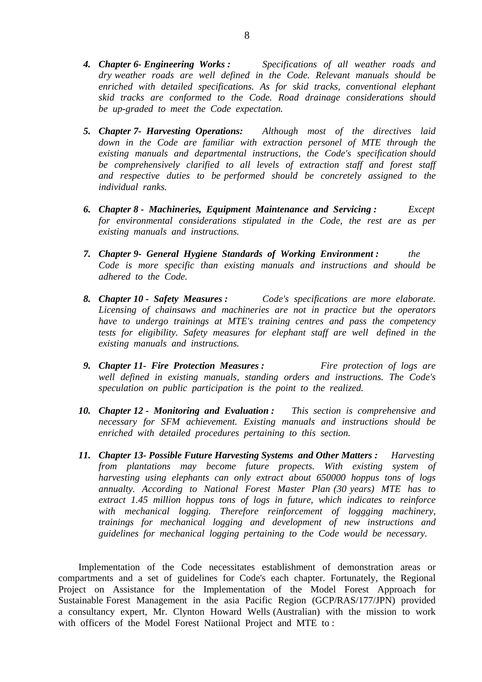- *4. Chapter 6- Engineering Works : Specifications of all weather roads and dry weather roads are well defined in the Code. Relevant manuals should be enriched with detailed specifications. As for skid tracks, conventional elephant skid tracks are conformed to the Code. Road drainage considerations should be up-graded to meet the Code expectation.*
- *5. Chapter 7- Harvesting Operations: Although most of the directives laid*  down in the Code are familiar with extraction personel of MTE through the *existing manuals and departmental instructions, the Code's specification should be comprehensively clarified to all levels of extraction staff and forest staff and respective duties to be performed should be concretely assigned to the individual ranks.*
- *6. Chapter 8 - Machineries, Equipment Maintenance and Servicing : Except for environmental considerations stipulated in the Code, the rest are as per existing manuals and instructions.*
- *7. Chapter 9- General Hygiene Standards of Working Environment : the Code is more specific than existing manuals and instructions and should be adhered to the Code.*
- *8. Chapter 10 Safety Measures : Code's specifications are more elaborate. Licensing of chainsaws and machineries are not in practice but the operators have to undergo trainings at MTE's training centres and pass the competency tests for eligibility. Safety measures for elephant staff are well defined in the existing manuals and instructions.*
- *9. Chapter 11- Fire Protection Measures : Fire protection of logs are well defined in existing manuals, standing orders and instructions. The Code's speculation on public participation is the point to the realized.*
- *10. Chapter 12 Monitoring and Evaluation : This section is comprehensive and necessary for SFM achievement. Existing manuals and instructions should be enriched with detailed procedures pertaining to this section.*
- *11. Chapter 13- Possible Future Harvesting Systems and Other Matters : Harvesting from plantations may become future propects. With existing system of harvesting using elephants can only extract about 650000 hoppus tons of logs annualty. According to National Forest Master Plan (30 years) MTE has to extract 1.45 million hoppus tons of logs in future, which indicates to reinforce with mechanical logging. Therefore reinforcement of loggging machinery, trainings for mechanical logging and development of new instructions and guidelines for mechanical logging pertaining to the Code would be necessary.*

 Implementation of the Code necessitates establishment of demonstration areas or compartments and a set of guidelines for Code's each chapter. Fortunately, the Regional Project on Assistance for the Implementation of the Model Forest Approach for Sustainable Forest Management in the asia Pacific Region (GCP/RAS/177/JPN) provided a consultancy expert, Mr. Clynton Howard Wells (Australian) with the mission to work with officers of the Model Forest Natiional Project and MTE to :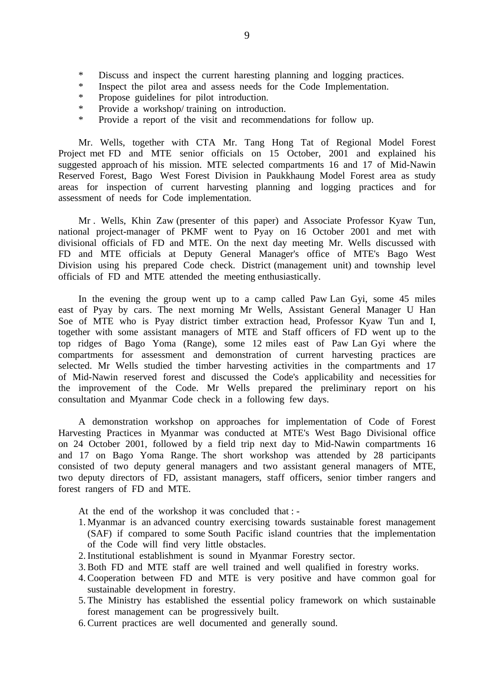- \* Discuss and inspect the current haresting planning and logging practices.
- \* Inspect the pilot area and assess needs for the Code Implementation.
- \* Propose guidelines for pilot introduction.
- \* Provide a workshop/ training on introduction.
- \* Provide a report of the visit and recommendations for follow up.

 Mr. Wells, together with CTA Mr. Tang Hong Tat of Regional Model Forest Project met FD and MTE senior officials on 15 October, 2001 and explained his suggested approach of his mission. MTE selected compartments 16 and 17 of Mid-Nawin Reserved Forest, Bago West Forest Division in Paukkhaung Model Forest area as study areas for inspection of current harvesting planning and logging practices and for assessment of needs for Code implementation.

 Mr . Wells, Khin Zaw (presenter of this paper) and Associate Professor Kyaw Tun, national project-manager of PKMF went to Pyay on 16 October 2001 and met with divisional officials of FD and MTE. On the next day meeting Mr. Wells discussed with FD and MTE officials at Deputy General Manager's office of MTE's Bago West Division using his prepared Code check. District (management unit) and township level officials of FD and MTE attended the meeting enthusiastically.

 In the evening the group went up to a camp called Paw Lan Gyi, some 45 miles east of Pyay by cars. The next morning Mr Wells, Assistant General Manager U Han Soe of MTE who is Pyay district timber extraction head, Professor Kyaw Tun and I, together with some assistant managers of MTE and Staff officers of FD went up to the top ridges of Bago Yoma (Range), some 12 miles east of Paw Lan Gyi where the compartments for assessment and demonstration of current harvesting practices are selected. Mr Wells studied the timber harvesting activities in the compartments and 17 of Mid-Nawin reserved forest and discussed the Code's applicability and necessities for the improvement of the Code. Mr Wells prepared the preliminary report on his consultation and Myanmar Code check in a following few days.

 A demonstration workshop on approaches for implementation of Code of Forest Harvesting Practices in Myanmar was conducted at MTE's West Bago Divisional office on 24 October 2001, followed by a field trip next day to Mid-Nawin compartments 16 and 17 on Bago Yoma Range. The short workshop was attended by 28 participants consisted of two deputy general managers and two assistant general managers of MTE, two deputy directors of FD, assistant managers, staff officers, senior timber rangers and forest rangers of FD and MTE.

At the end of the workshop it was concluded that : -

- 1. Myanmar is an advanced country exercising towards sustainable forest management (SAF) if compared to some South Pacific island countries that the implementation of the Code will find very little obstacles.
- 2. Institutional establishment is sound in Myanmar Forestry sector.
- 3. Both FD and MTE staff are well trained and well qualified in forestry works.
- 4. Cooperation between FD and MTE is very positive and have common goal for sustainable development in forestry.
- 5. The Ministry has established the essential policy framework on which sustainable forest management can be progressively built.
- 6. Current practices are well documented and generally sound.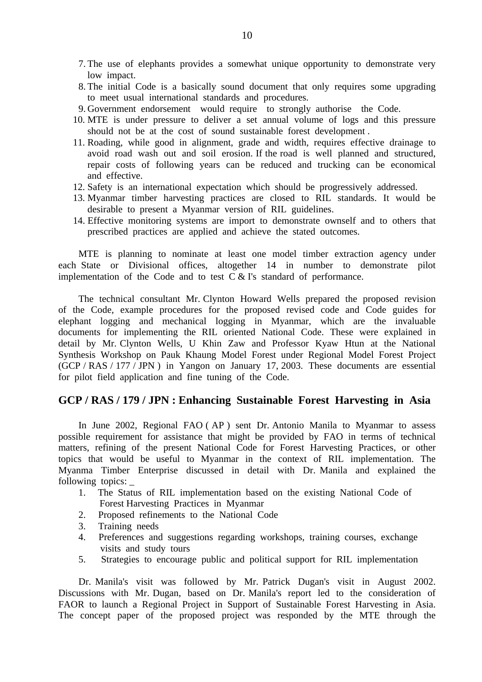- 7. The use of elephants provides a somewhat unique opportunity to demonstrate very low impact.
- 8. The initial Code is a basically sound document that only requires some upgrading to meet usual international standards and procedures.
- 9. Government endorsement would require to strongly authorise the Code.
- 10. MTE is under pressure to deliver a set annual volume of logs and this pressure should not be at the cost of sound sustainable forest development .
- 11. Roading, while good in alignment, grade and width, requires effective drainage to avoid road wash out and soil erosion. If the road is well planned and structured, repair costs of following years can be reduced and trucking can be economical and effective.
- 12. Safety is an international expectation which should be progressively addressed.
- 13. Myanmar timber harvesting practices are closed to RIL standards. It would be desirable to present a Myanmar version of RIL guidelines.
- 14. Effective monitoring systems are import to demonstrate ownself and to others that prescribed practices are applied and achieve the stated outcomes.

 MTE is planning to nominate at least one model timber extraction agency under each State or Divisional offices, altogether 14 in number to demonstrate pilot implementation of the Code and to test  $\overline{C} \&$  I's standard of performance.

 The technical consultant Mr. Clynton Howard Wells prepared the proposed revision of the Code, example procedures for the proposed revised code and Code guides for elephant logging and mechanical logging in Myanmar, which are the invaluable documents for implementing the RIL oriented National Code. These were explained in detail by Mr. Clynton Wells, U Khin Zaw and Professor Kyaw Htun at the National Synthesis Workshop on Pauk Khaung Model Forest under Regional Model Forest Project (GCP / RAS / 177 / JPN ) in Yangon on January 17, 2003. These documents are essential for pilot field application and fine tuning of the Code.

#### **GCP / RAS / 179 / JPN : Enhancing Sustainable Forest Harvesting in Asia**

 In June 2002, Regional FAO ( AP ) sent Dr. Antonio Manila to Myanmar to assess possible requirement for assistance that might be provided by FAO in terms of technical matters, refining of the present National Code for Forest Harvesting Practices, or other topics that would be useful to Myanmar in the context of RIL implementation. The Myanma Timber Enterprise discussed in detail with Dr. Manila and explained the following topics:

- 1. The Status of RIL implementation based on the existing National Code of Forest Harvesting Practices in Myanmar
- 2. Proposed refinements to the National Code
- 3. Training needs
- 4. Preferences and suggestions regarding workshops, training courses, exchange visits and study tours
- 5. Strategies to encourage public and political support for RIL implementation

 Dr. Manila's visit was followed by Mr. Patrick Dugan's visit in August 2002. Discussions with Mr. Dugan, based on Dr. Manila's report led to the consideration of FAOR to launch a Regional Project in Support of Sustainable Forest Harvesting in Asia. The concept paper of the proposed project was responded by the MTE through the